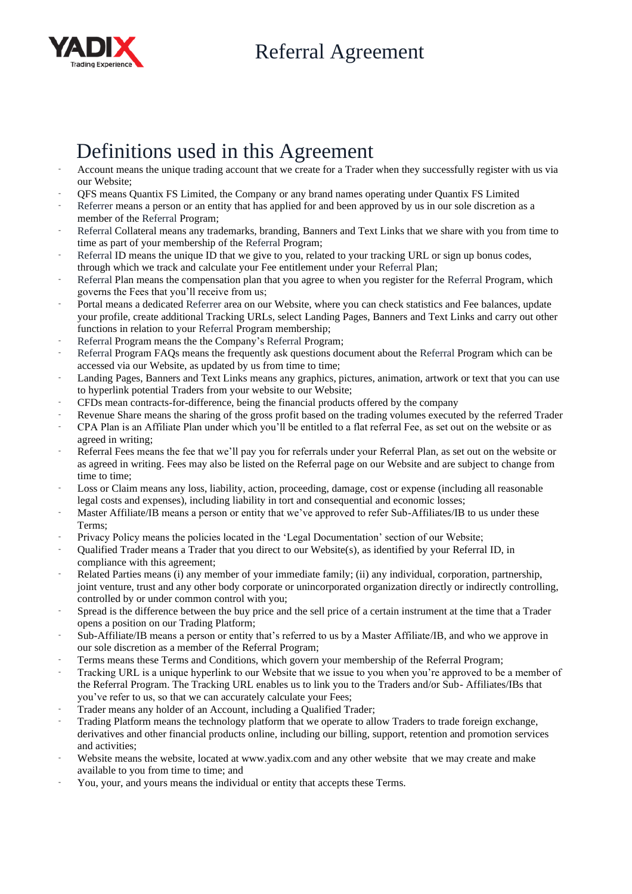

## Definitions used in this Agreement

- Account means the unique trading account that we create for a Trader when they successfully register with us via our Website;
- QFS means Quantix FS Limited, the Company or any brand names operating under Quantix FS Limited
- Referrer means a person or an entity that has applied for and been approved by us in our sole discretion as a member of the Referral Program;
- Referral Collateral means any trademarks, branding, Banners and Text Links that we share with you from time to time as part of your membership of the Referral Program;
- Referral ID means the unique ID that we give to you, related to your tracking URL or sign up bonus codes, through which we track and calculate your Fee entitlement under your Referral Plan;
- Referral Plan means the compensation plan that you agree to when you register for the Referral Program, which governs the Fees that you'll receive from us;
- Portal means a dedicated Referrer area on our Website, where you can check statistics and Fee balances, update your profile, create additional Tracking URLs, select Landing Pages, Banners and Text Links and carry out other functions in relation to your Referral Program membership;
- Referral Program means the the Company's Referral Program;
- Referral Program FAQs means the frequently ask questions document about the Referral Program which can be accessed via our Website, as updated by us from time to time;
- Landing Pages, Banners and Text Links means any graphics, pictures, animation, artwork or text that you can use to hyperlink potential Traders from your website to our Website;
- CFDs mean contracts-for-difference, being the financial products offered by the company
- Revenue Share means the sharing of the gross profit based on the trading volumes executed by the referred Trader
- CPA Plan is an Affiliate Plan under which you'll be entitled to a flat referral Fee, as set out on the website or as agreed in writing;
- Referral Fees means the fee that we'll pay you for referrals under your Referral Plan, as set out on the website or as agreed in writing. Fees may also be listed on the Referral page on our Website and are subject to change from time to time;
- Loss or Claim means any loss, liability, action, proceeding, damage, cost or expense (including all reasonable legal costs and expenses), including liability in tort and consequential and economic losses;
- Master Affiliate/IB means a person or entity that we've approved to refer Sub-Affiliates/IB to us under these Terms;
- Privacy Policy means the policies located in the 'Legal Documentation' section of our Website;
- Qualified Trader means a Trader that you direct to our Website(s), as identified by your Referral ID, in compliance with this agreement;
- Related Parties means (i) any member of your immediate family; (ii) any individual, corporation, partnership, joint venture, trust and any other body corporate or unincorporated organization directly or indirectly controlling, controlled by or under common control with you;
- Spread is the difference between the buy price and the sell price of a certain instrument at the time that a Trader opens a position on our Trading Platform;
- Sub-Affiliate/IB means a person or entity that's referred to us by a Master Affiliate/IB, and who we approve in our sole discretion as a member of the Referral Program;
- Terms means these Terms and Conditions, which govern your membership of the Referral Program;
- Tracking URL is a unique hyperlink to our Website that we issue to you when you're approved to be a member of the Referral Program. The Tracking URL enables us to link you to the Traders and/or Sub- Affiliates/IBs that you've refer to us, so that we can accurately calculate your Fees;
- Trader means any holder of an Account, including a Qualified Trader;
- Trading Platform means the technology platform that we operate to allow Traders to trade foreign exchange, derivatives and other financial products online, including our billing, support, retention and promotion services and activities;
- Website means the website, located at www.yadix.com and any other website that we may create and make available to you from time to time; and
- You, your, and yours means the individual or entity that accepts these Terms.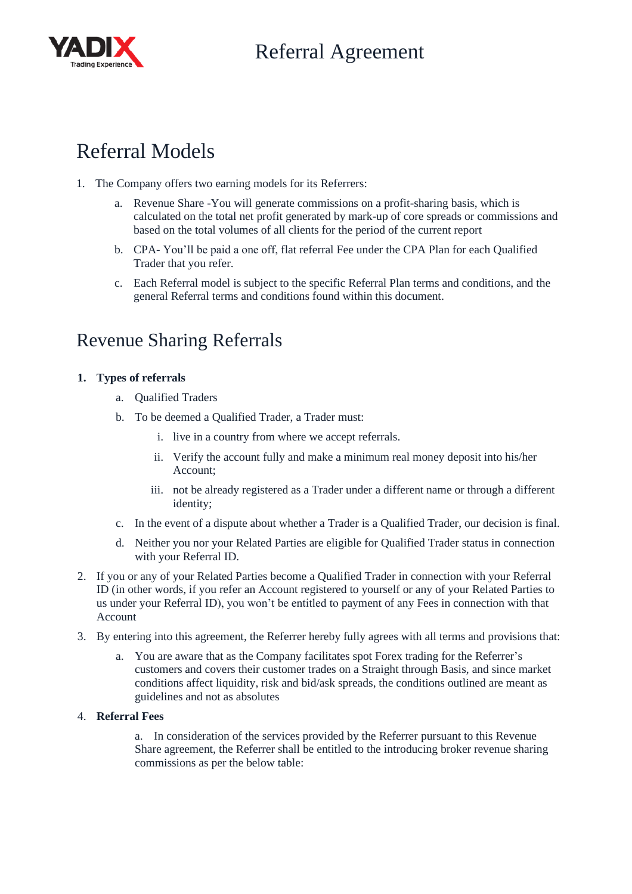

## Referral Models

- 1. The Company offers two earning models for its Referrers:
	- a. Revenue Share -You will generate commissions on a profit-sharing basis, which is calculated on the total net profit generated by mark-up of core spreads or commissions and based on the total volumes of all clients for the period of the current report
	- b. CPA- You'll be paid a one off, flat referral Fee under the CPA Plan for each Qualified Trader that you refer.
	- c. Each Referral model is subject to the specific Referral Plan terms and conditions, and the general Referral terms and conditions found within this document.

## Revenue Sharing Referrals

## **1. Types of referrals**

- a. Qualified Traders
- b. To be deemed a Qualified Trader, a Trader must:
	- i. live in a country from where we accept referrals.
	- ii. Verify the account fully and make a minimum real money deposit into his/her Account;
	- iii. not be already registered as a Trader under a different name or through a different identity;
- c. In the event of a dispute about whether a Trader is a Qualified Trader, our decision is final.
- d. Neither you nor your Related Parties are eligible for Qualified Trader status in connection with your Referral ID.
- 2. If you or any of your Related Parties become a Qualified Trader in connection with your Referral ID (in other words, if you refer an Account registered to yourself or any of your Related Parties to us under your Referral ID), you won't be entitled to payment of any Fees in connection with that Account
- 3. By entering into this agreement, the Referrer hereby fully agrees with all terms and provisions that:
	- a. You are aware that as the Company facilitates spot Forex trading for the Referrer's customers and covers their customer trades on a Straight through Basis, and since market conditions affect liquidity, risk and bid/ask spreads, the conditions outlined are meant as guidelines and not as absolutes

## 4. **Referral Fees**

a. In consideration of the services provided by the Referrer pursuant to this Revenue Share agreement, the Referrer shall be entitled to the introducing broker revenue sharing commissions as per the below table: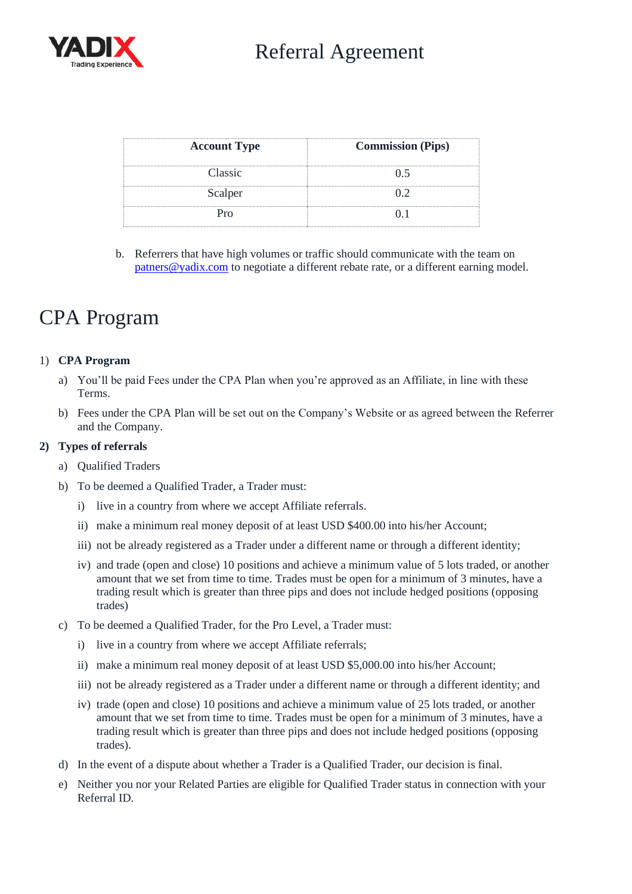

| <b>Account Type</b> | <b>Commission (Pips)</b> |
|---------------------|--------------------------|
| Classic             |                          |
| Scalper             |                          |
|                     |                          |

b. Referrers that have high volumes or traffic should communicate with the team on [patners@yadix.com](mailto:patners@yadix.com) to negotiate a different rebate rate, or a different earning model.

## CPA Program

## 1) **CPA Program**

- a) You'll be paid Fees under the CPA Plan when you're approved as an Affiliate, in line with these Terms.
- b) Fees under the CPA Plan will be set out on the Company's Website or as agreed between the Referrer and the Company.

#### **2) Types of referrals**

- a) Qualified Traders
- b) To be deemed a Qualified Trader, a Trader must:
	- i) live in a country from where we accept Affiliate referrals.
	- ii) make a minimum real money deposit of at least USD \$400.00 into his/her Account;
	- iii) not be already registered as a Trader under a different name or through a different identity;
	- iv) and trade (open and close) 10 positions and achieve a minimum value of 5 lots traded, or another amount that we set from time to time. Trades must be open for a minimum of 3 minutes, have a trading result which is greater than three pips and does not include hedged positions (opposing trades)
- c) To be deemed a Qualified Trader, for the Pro Level, a Trader must:
	- i) live in a country from where we accept Affiliate referrals;
	- ii) make a minimum real money deposit of at least USD \$5,000.00 into his/her Account;
	- iii) not be already registered as a Trader under a different name or through a different identity; and
	- iv) trade (open and close) 10 positions and achieve a minimum value of 25 lots traded, or another amount that we set from time to time. Trades must be open for a minimum of 3 minutes, have a trading result which is greater than three pips and does not include hedged positions (opposing trades).
- d) In the event of a dispute about whether a Trader is a Qualified Trader, our decision is final.
- e) Neither you nor your Related Parties are eligible for Qualified Trader status in connection with your Referral ID.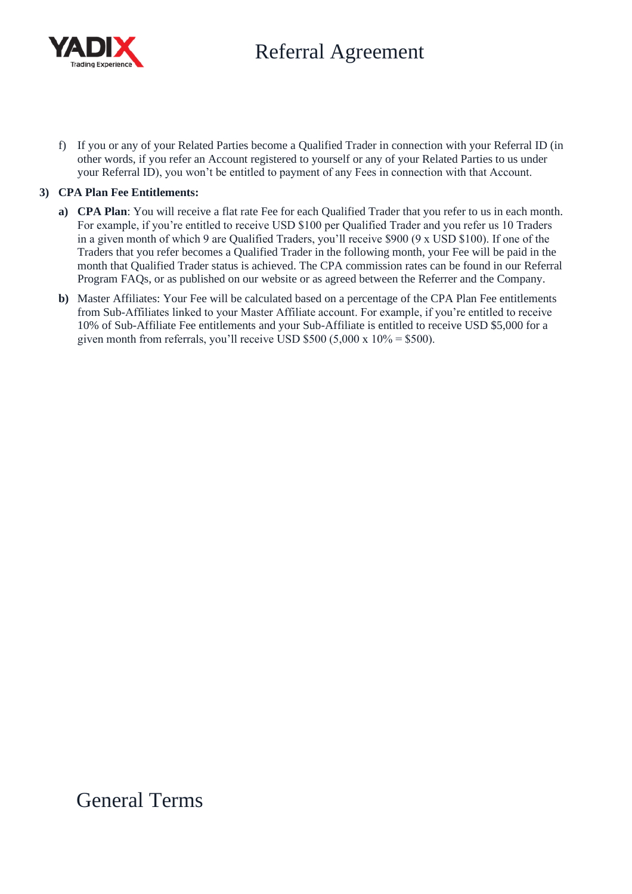

f) If you or any of your Related Parties become a Qualified Trader in connection with your Referral ID (in other words, if you refer an Account registered to yourself or any of your Related Parties to us under your Referral ID), you won't be entitled to payment of any Fees in connection with that Account.

## **3) CPA Plan Fee Entitlements:**

- **a) CPA Plan**: You will receive a flat rate Fee for each Qualified Trader that you refer to us in each month. For example, if you're entitled to receive USD \$100 per Qualified Trader and you refer us 10 Traders in a given month of which 9 are Qualified Traders, you'll receive \$900 (9 x USD \$100). If one of the Traders that you refer becomes a Qualified Trader in the following month, your Fee will be paid in the month that Qualified Trader status is achieved. The CPA commission rates can be found in our Referral Program FAQs, or as published on our website or as agreed between the Referrer and the Company.
- **b)** Master Affiliates: Your Fee will be calculated based on a percentage of the CPA Plan Fee entitlements from Sub-Affiliates linked to your Master Affiliate account. For example, if you're entitled to receive 10% of Sub-Affiliate Fee entitlements and your Sub-Affiliate is entitled to receive USD \$5,000 for a given month from referrals, you'll receive USD  $$500 (5,000 x 10\% = $500)$ .

General Terms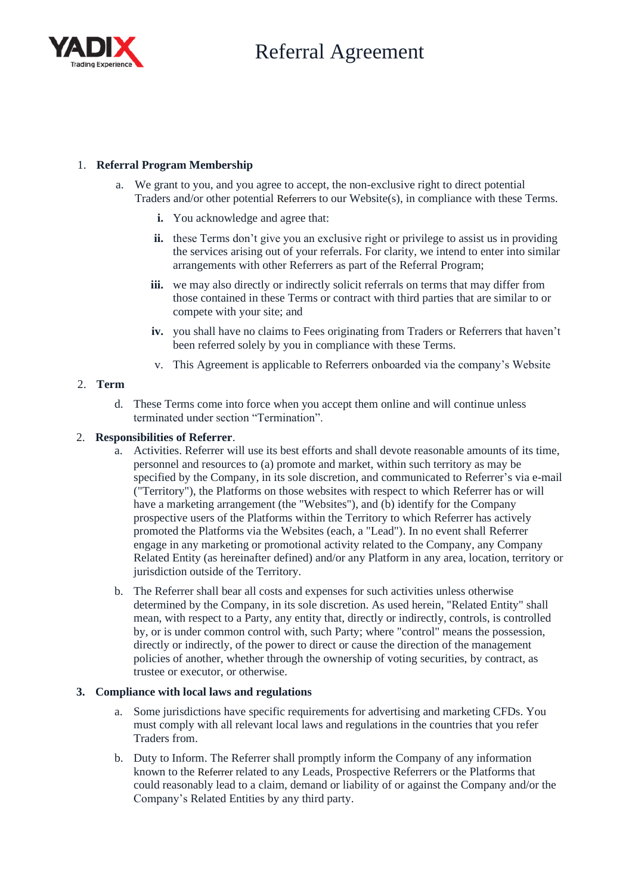

## 1. **Referral Program Membership**

- a. We grant to you, and you agree to accept, the non-exclusive right to direct potential Traders and/or other potential Referrers to our Website(s), in compliance with these Terms.
	- **i.** You acknowledge and agree that:
	- **ii.** these Terms don't give you an exclusive right or privilege to assist us in providing the services arising out of your referrals. For clarity, we intend to enter into similar arrangements with other Referrers as part of the Referral Program;
	- iii. we may also directly or indirectly solicit referrals on terms that may differ from those contained in these Terms or contract with third parties that are similar to or compete with your site; and
	- **iv.** you shall have no claims to Fees originating from Traders or Referrers that haven't been referred solely by you in compliance with these Terms.
	- v. This Agreement is applicable to Referrers onboarded via the company's Website

## 2. **Term**

d. These Terms come into force when you accept them online and will continue unless terminated under section "Termination".

## 2. **Responsibilities of Referrer**.

- a. Activities. Referrer will use its best efforts and shall devote reasonable amounts of its time, personnel and resources to (a) promote and market, within such territory as may be specified by the Company, in its sole discretion, and communicated to Referrer's via e-mail ("Territory"), the Platforms on those websites with respect to which Referrer has or will have a marketing arrangement (the "Websites"), and (b) identify for the Company prospective users of the Platforms within the Territory to which Referrer has actively promoted the Platforms via the Websites (each, a "Lead"). In no event shall Referrer engage in any marketing or promotional activity related to the Company, any Company Related Entity (as hereinafter defined) and/or any Platform in any area, location, territory or jurisdiction outside of the Territory.
- b. The Referrer shall bear all costs and expenses for such activities unless otherwise determined by the Company, in its sole discretion. As used herein, "Related Entity" shall mean, with respect to a Party, any entity that, directly or indirectly, controls, is controlled by, or is under common control with, such Party; where "control" means the possession, directly or indirectly, of the power to direct or cause the direction of the management policies of another, whether through the ownership of voting securities, by contract, as trustee or executor, or otherwise.

## **3. Compliance with local laws and regulations**

- a. Some jurisdictions have specific requirements for advertising and marketing CFDs. You must comply with all relevant local laws and regulations in the countries that you refer Traders from.
- b. Duty to Inform. The Referrer shall promptly inform the Company of any information known to the Referrer related to any Leads, Prospective Referrers or the Platforms that could reasonably lead to a claim, demand or liability of or against the Company and/or the Company's Related Entities by any third party.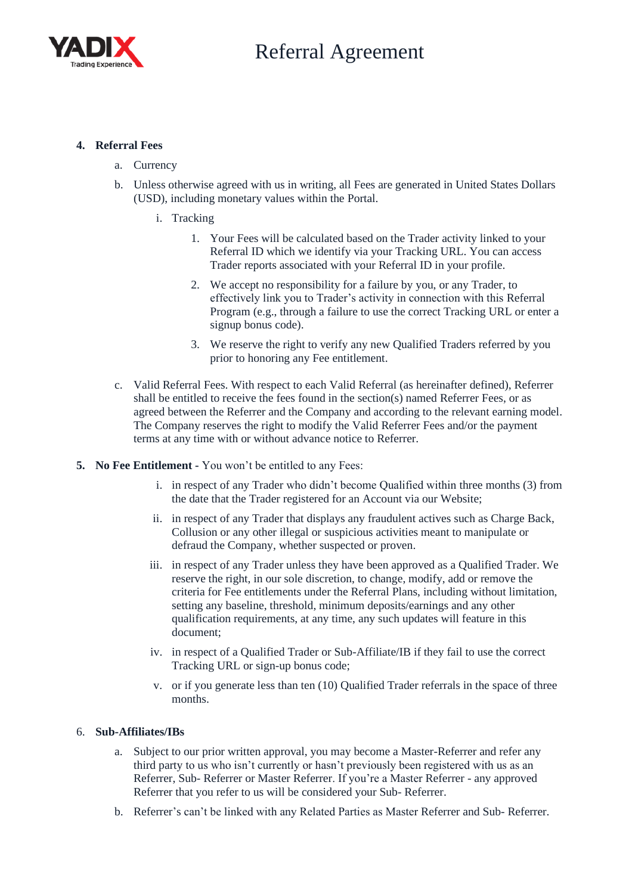

## **4. Referral Fees**

- a. Currency
- b. Unless otherwise agreed with us in writing, all Fees are generated in United States Dollars (USD), including monetary values within the Portal.
	- i. Tracking
		- 1. Your Fees will be calculated based on the Trader activity linked to your Referral ID which we identify via your Tracking URL. You can access Trader reports associated with your Referral ID in your profile.
		- 2. We accept no responsibility for a failure by you, or any Trader, to effectively link you to Trader's activity in connection with this Referral Program (e.g., through a failure to use the correct Tracking URL or enter a signup bonus code).
		- 3. We reserve the right to verify any new Qualified Traders referred by you prior to honoring any Fee entitlement.
- c. Valid Referral Fees. With respect to each Valid Referral (as hereinafter defined), Referrer shall be entitled to receive the fees found in the section(s) named Referrer Fees, or as agreed between the Referrer and the Company and according to the relevant earning model. The Company reserves the right to modify the Valid Referrer Fees and/or the payment terms at any time with or without advance notice to Referrer.
- **5. No Fee Entitlement -** You won't be entitled to any Fees:
	- i. in respect of any Trader who didn't become Qualified within three months (3) from the date that the Trader registered for an Account via our Website;
	- ii. in respect of any Trader that displays any fraudulent actives such as Charge Back, Collusion or any other illegal or suspicious activities meant to manipulate or defraud the Company, whether suspected or proven.
	- iii. in respect of any Trader unless they have been approved as a Qualified Trader. We reserve the right, in our sole discretion, to change, modify, add or remove the criteria for Fee entitlements under the Referral Plans, including without limitation, setting any baseline, threshold, minimum deposits/earnings and any other qualification requirements, at any time, any such updates will feature in this document;
	- iv. in respect of a Qualified Trader or Sub-Affiliate/IB if they fail to use the correct Tracking URL or sign-up bonus code;
	- v. or if you generate less than ten (10) Qualified Trader referrals in the space of three months.

## 6. **Sub-Affiliates/IBs**

- a. Subject to our prior written approval, you may become a Master-Referrer and refer any third party to us who isn't currently or hasn't previously been registered with us as an Referrer, Sub- Referrer or Master Referrer. If you're a Master Referrer - any approved Referrer that you refer to us will be considered your Sub- Referrer.
- b. Referrer's can't be linked with any Related Parties as Master Referrer and Sub- Referrer.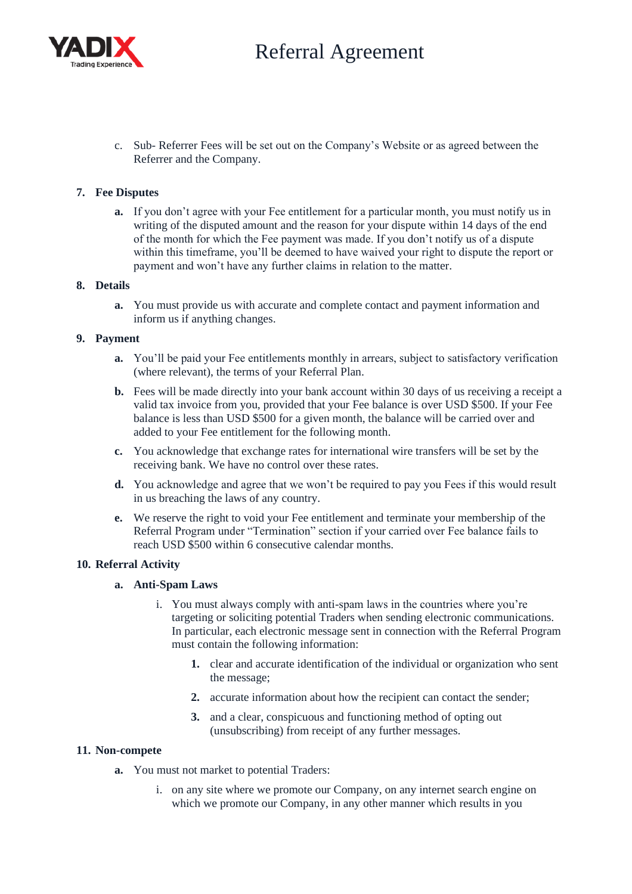

c. Sub- Referrer Fees will be set out on the Company's Website or as agreed between the Referrer and the Company.

#### **7. Fee Disputes**

**a.** If you don't agree with your Fee entitlement for a particular month, you must notify us in writing of the disputed amount and the reason for your dispute within 14 days of the end of the month for which the Fee payment was made. If you don't notify us of a dispute within this timeframe, you'll be deemed to have waived your right to dispute the report or payment and won't have any further claims in relation to the matter.

#### **8. Details**

**a.** You must provide us with accurate and complete contact and payment information and inform us if anything changes.

#### **9. Payment**

- **a.** You'll be paid your Fee entitlements monthly in arrears, subject to satisfactory verification (where relevant), the terms of your Referral Plan.
- **b.** Fees will be made directly into your bank account within 30 days of us receiving a receipt a valid tax invoice from you, provided that your Fee balance is over USD \$500. If your Fee balance is less than USD \$500 for a given month, the balance will be carried over and added to your Fee entitlement for the following month.
- **c.** You acknowledge that exchange rates for international wire transfers will be set by the receiving bank. We have no control over these rates.
- **d.** You acknowledge and agree that we won't be required to pay you Fees if this would result in us breaching the laws of any country.
- **e.** We reserve the right to void your Fee entitlement and terminate your membership of the Referral Program under "Termination" section if your carried over Fee balance fails to reach USD \$500 within 6 consecutive calendar months.

#### **10. Referral Activity**

#### **a. Anti-Spam Laws**

- i. You must always comply with anti-spam laws in the countries where you're targeting or soliciting potential Traders when sending electronic communications. In particular, each electronic message sent in connection with the Referral Program must contain the following information:
	- **1.** clear and accurate identification of the individual or organization who sent the message;
	- **2.** accurate information about how the recipient can contact the sender;
	- **3.** and a clear, conspicuous and functioning method of opting out (unsubscribing) from receipt of any further messages.

#### **11. Non-compete**

- **a.** You must not market to potential Traders:
	- i. on any site where we promote our Company, on any internet search engine on which we promote our Company, in any other manner which results in you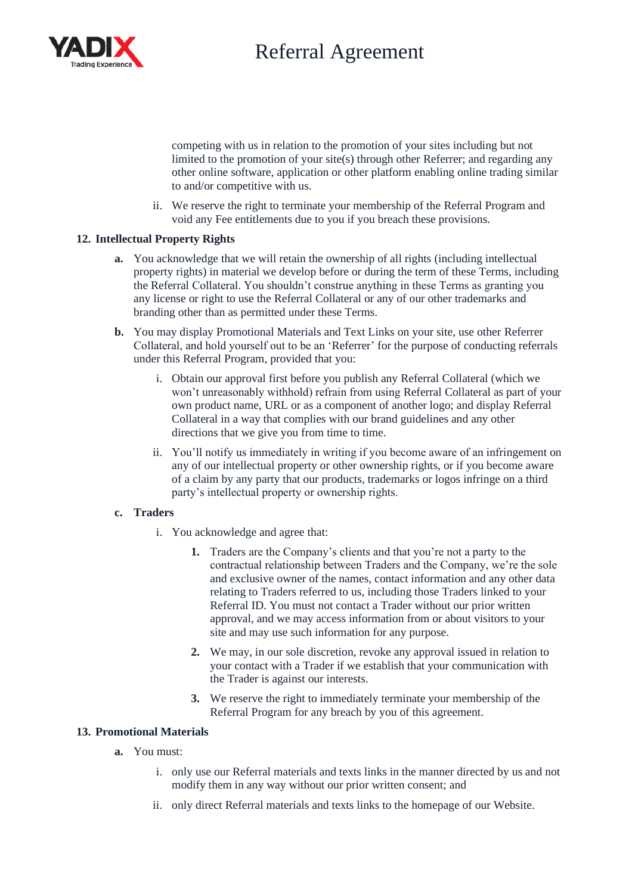

competing with us in relation to the promotion of your sites including but not limited to the promotion of your site(s) through other Referrer; and regarding any other online software, application or other platform enabling online trading similar to and/or competitive with us.

ii. We reserve the right to terminate your membership of the Referral Program and void any Fee entitlements due to you if you breach these provisions.

#### **12. Intellectual Property Rights**

- **a.** You acknowledge that we will retain the ownership of all rights (including intellectual property rights) in material we develop before or during the term of these Terms, including the Referral Collateral. You shouldn't construe anything in these Terms as granting you any license or right to use the Referral Collateral or any of our other trademarks and branding other than as permitted under these Terms.
- **b.** You may display Promotional Materials and Text Links on your site, use other Referrer Collateral, and hold yourself out to be an 'Referrer' for the purpose of conducting referrals under this Referral Program, provided that you:
	- i. Obtain our approval first before you publish any Referral Collateral (which we won't unreasonably withhold) refrain from using Referral Collateral as part of your own product name, URL or as a component of another logo; and display Referral Collateral in a way that complies with our brand guidelines and any other directions that we give you from time to time.
	- ii. You'll notify us immediately in writing if you become aware of an infringement on any of our intellectual property or other ownership rights, or if you become aware of a claim by any party that our products, trademarks or logos infringe on a third party's intellectual property or ownership rights.

#### **c. Traders**

- i. You acknowledge and agree that:
	- **1.** Traders are the Company's clients and that you're not a party to the contractual relationship between Traders and the Company, we're the sole and exclusive owner of the names, contact information and any other data relating to Traders referred to us, including those Traders linked to your Referral ID. You must not contact a Trader without our prior written approval, and we may access information from or about visitors to your site and may use such information for any purpose.
	- **2.** We may, in our sole discretion, revoke any approval issued in relation to your contact with a Trader if we establish that your communication with the Trader is against our interests.
	- **3.** We reserve the right to immediately terminate your membership of the Referral Program for any breach by you of this agreement.

#### **13. Promotional Materials**

- **a.** You must:
	- i. only use our Referral materials and texts links in the manner directed by us and not modify them in any way without our prior written consent; and
	- ii. only direct Referral materials and texts links to the homepage of our Website.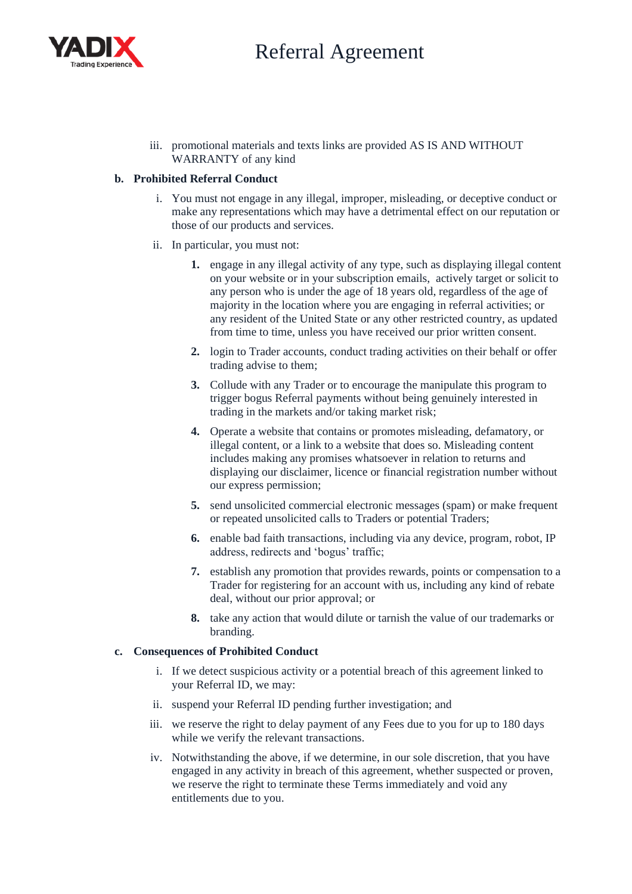

iii. promotional materials and texts links are provided AS IS AND WITHOUT WARRANTY of any kind

#### **b. Prohibited Referral Conduct**

- i. You must not engage in any illegal, improper, misleading, or deceptive conduct or make any representations which may have a detrimental effect on our reputation or those of our products and services.
- ii. In particular, you must not:
	- **1.** engage in any illegal activity of any type, such as displaying illegal content on your website or in your subscription emails, actively target or solicit to any person who is under the age of 18 years old, regardless of the age of majority in the location where you are engaging in referral activities; or any resident of the United State or any other restricted country, as updated from time to time, unless you have received our prior written consent.
	- **2.** login to Trader accounts, conduct trading activities on their behalf or offer trading advise to them;
	- **3.** Collude with any Trader or to encourage the manipulate this program to trigger bogus Referral payments without being genuinely interested in trading in the markets and/or taking market risk;
	- **4.** Operate a website that contains or promotes misleading, defamatory, or illegal content, or a link to a website that does so. Misleading content includes making any promises whatsoever in relation to returns and displaying our disclaimer, licence or financial registration number without our express permission;
	- **5.** send unsolicited commercial electronic messages (spam) or make frequent or repeated unsolicited calls to Traders or potential Traders;
	- **6.** enable bad faith transactions, including via any device, program, robot, IP address, redirects and 'bogus' traffic;
	- **7.** establish any promotion that provides rewards, points or compensation to a Trader for registering for an account with us, including any kind of rebate deal, without our prior approval; or
	- **8.** take any action that would dilute or tarnish the value of our trademarks or branding.

#### **c. Consequences of Prohibited Conduct**

- i. If we detect suspicious activity or a potential breach of this agreement linked to your Referral ID, we may:
- ii. suspend your Referral ID pending further investigation; and
- iii. we reserve the right to delay payment of any Fees due to you for up to 180 days while we verify the relevant transactions.
- iv. Notwithstanding the above, if we determine, in our sole discretion, that you have engaged in any activity in breach of this agreement, whether suspected or proven, we reserve the right to terminate these Terms immediately and void any entitlements due to you.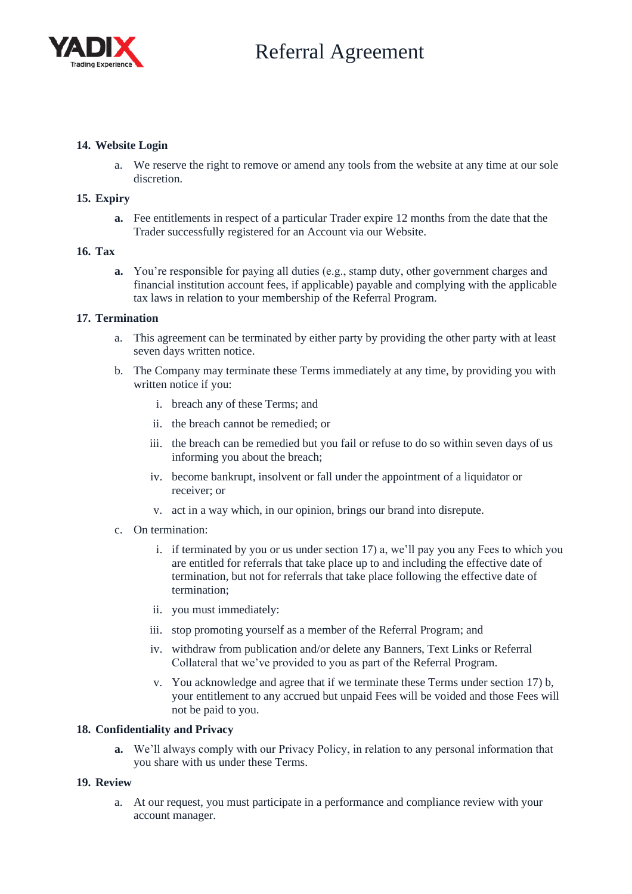

#### **14. Website Login**

a. We reserve the right to remove or amend any tools from the website at any time at our sole discretion.

#### **15. Expiry**

**a.** Fee entitlements in respect of a particular Trader expire 12 months from the date that the Trader successfully registered for an Account via our Website.

#### **16. Tax**

**a.** You're responsible for paying all duties (e.g., stamp duty, other government charges and financial institution account fees, if applicable) payable and complying with the applicable tax laws in relation to your membership of the Referral Program.

#### **17. Termination**

- a. This agreement can be terminated by either party by providing the other party with at least seven days written notice.
- b. The Company may terminate these Terms immediately at any time, by providing you with written notice if you:
	- i. breach any of these Terms; and
	- ii. the breach cannot be remedied; or
	- iii. the breach can be remedied but you fail or refuse to do so within seven days of us informing you about the breach;
	- iv. become bankrupt, insolvent or fall under the appointment of a liquidator or receiver; or
	- v. act in a way which, in our opinion, brings our brand into disrepute.
- c. On termination:
	- i. if terminated by you or us under section 17) a, we'll pay you any Fees to which you are entitled for referrals that take place up to and including the effective date of termination, but not for referrals that take place following the effective date of termination;
	- ii. you must immediately:
	- iii. stop promoting yourself as a member of the Referral Program; and
	- iv. withdraw from publication and/or delete any Banners, Text Links or Referral Collateral that we've provided to you as part of the Referral Program.
	- v. You acknowledge and agree that if we terminate these Terms under section 17) b, your entitlement to any accrued but unpaid Fees will be voided and those Fees will not be paid to you.

#### **18. Confidentiality and Privacy**

**a.** We'll always comply with our Privacy Policy, in relation to any personal information that you share with us under these Terms.

#### **19. Review**

a. At our request, you must participate in a performance and compliance review with your account manager.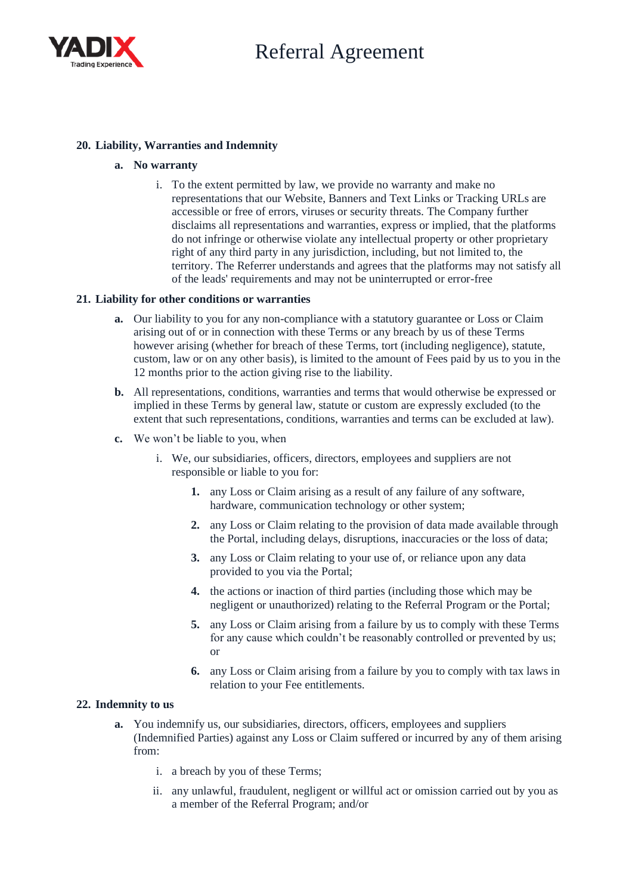

## **20. Liability, Warranties and Indemnity**

#### **a. No warranty**

i. To the extent permitted by law, we provide no warranty and make no representations that our Website, Banners and Text Links or Tracking URLs are accessible or free of errors, viruses or security threats. The Company further disclaims all representations and warranties, express or implied, that the platforms do not infringe or otherwise violate any intellectual property or other proprietary right of any third party in any jurisdiction, including, but not limited to, the territory. The Referrer understands and agrees that the platforms may not satisfy all of the leads' requirements and may not be uninterrupted or error-free

#### **21. Liability for other conditions or warranties**

- **a.** Our liability to you for any non-compliance with a statutory guarantee or Loss or Claim arising out of or in connection with these Terms or any breach by us of these Terms however arising (whether for breach of these Terms, tort (including negligence), statute, custom, law or on any other basis), is limited to the amount of Fees paid by us to you in the 12 months prior to the action giving rise to the liability.
- **b.** All representations, conditions, warranties and terms that would otherwise be expressed or implied in these Terms by general law, statute or custom are expressly excluded (to the extent that such representations, conditions, warranties and terms can be excluded at law).
- **c.** We won't be liable to you, when
	- i. We, our subsidiaries, officers, directors, employees and suppliers are not responsible or liable to you for:
		- **1.** any Loss or Claim arising as a result of any failure of any software, hardware, communication technology or other system;
		- **2.** any Loss or Claim relating to the provision of data made available through the Portal, including delays, disruptions, inaccuracies or the loss of data;
		- **3.** any Loss or Claim relating to your use of, or reliance upon any data provided to you via the Portal;
		- **4.** the actions or inaction of third parties (including those which may be negligent or unauthorized) relating to the Referral Program or the Portal;
		- **5.** any Loss or Claim arising from a failure by us to comply with these Terms for any cause which couldn't be reasonably controlled or prevented by us; or
		- **6.** any Loss or Claim arising from a failure by you to comply with tax laws in relation to your Fee entitlements.

#### **22. Indemnity to us**

- **a.** You indemnify us, our subsidiaries, directors, officers, employees and suppliers (Indemnified Parties) against any Loss or Claim suffered or incurred by any of them arising from:
	- i. a breach by you of these Terms;
	- ii. any unlawful, fraudulent, negligent or willful act or omission carried out by you as a member of the Referral Program; and/or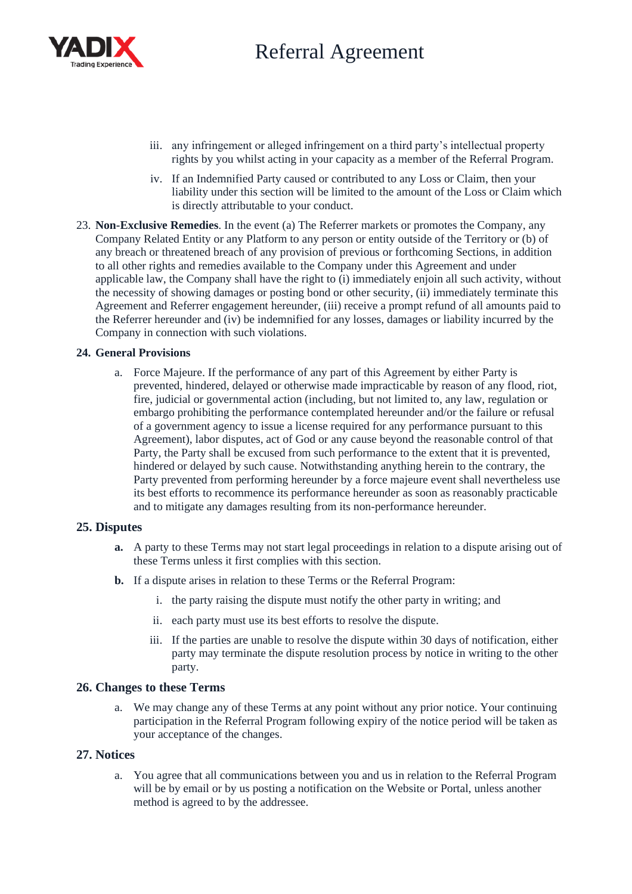

- iii. any infringement or alleged infringement on a third party's intellectual property rights by you whilst acting in your capacity as a member of the Referral Program.
- iv. If an Indemnified Party caused or contributed to any Loss or Claim, then your liability under this section will be limited to the amount of the Loss or Claim which is directly attributable to your conduct.
- 23. **Non-Exclusive Remedies**. In the event (a) The Referrer markets or promotes the Company, any Company Related Entity or any Platform to any person or entity outside of the Territory or (b) of any breach or threatened breach of any provision of previous or forthcoming Sections, in addition to all other rights and remedies available to the Company under this Agreement and under applicable law, the Company shall have the right to (i) immediately enjoin all such activity, without the necessity of showing damages or posting bond or other security, (ii) immediately terminate this Agreement and Referrer engagement hereunder, (iii) receive a prompt refund of all amounts paid to the Referrer hereunder and (iv) be indemnified for any losses, damages or liability incurred by the Company in connection with such violations.

#### **24. General Provisions**

a. Force Majeure. If the performance of any part of this Agreement by either Party is prevented, hindered, delayed or otherwise made impracticable by reason of any flood, riot, fire, judicial or governmental action (including, but not limited to, any law, regulation or embargo prohibiting the performance contemplated hereunder and/or the failure or refusal of a government agency to issue a license required for any performance pursuant to this Agreement), labor disputes, act of God or any cause beyond the reasonable control of that Party, the Party shall be excused from such performance to the extent that it is prevented, hindered or delayed by such cause. Notwithstanding anything herein to the contrary, the Party prevented from performing hereunder by a force majeure event shall nevertheless use its best efforts to recommence its performance hereunder as soon as reasonably practicable and to mitigate any damages resulting from its non-performance hereunder.

## **25. Disputes**

- **a.** A party to these Terms may not start legal proceedings in relation to a dispute arising out of these Terms unless it first complies with this section.
- **b.** If a dispute arises in relation to these Terms or the Referral Program:
	- i. the party raising the dispute must notify the other party in writing; and
	- ii. each party must use its best efforts to resolve the dispute.
	- iii. If the parties are unable to resolve the dispute within 30 days of notification, either party may terminate the dispute resolution process by notice in writing to the other party.

## **26. Changes to these Terms**

a. We may change any of these Terms at any point without any prior notice. Your continuing participation in the Referral Program following expiry of the notice period will be taken as your acceptance of the changes.

## **27. Notices**

a. You agree that all communications between you and us in relation to the Referral Program will be by email or by us posting a notification on the Website or Portal, unless another method is agreed to by the addressee.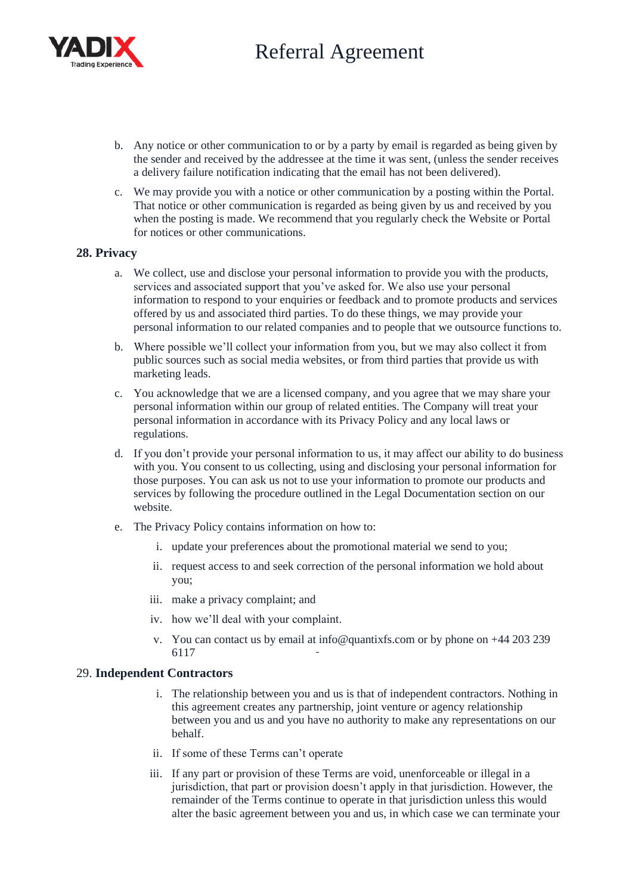

- b. Any notice or other communication to or by a party by email is regarded as being given by the sender and received by the addressee at the time it was sent, (unless the sender receives a delivery failure notification indicating that the email has not been delivered).
- c. We may provide you with a notice or other communication by a posting within the Portal. That notice or other communication is regarded as being given by us and received by you when the posting is made. We recommend that you regularly check the Website or Portal for notices or other communications.

## **28. Privacy**

- a. We collect, use and disclose your personal information to provide you with the products, services and associated support that you've asked for. We also use your personal information to respond to your enquiries or feedback and to promote products and services offered by us and associated third parties. To do these things, we may provide your personal information to our related companies and to people that we outsource functions to.
- b. Where possible we'll collect your information from you, but we may also collect it from public sources such as social media websites, or from third parties that provide us with marketing leads.
- c. You acknowledge that we are a licensed company, and you agree that we may share your personal information within our group of related entities. The Company will treat your personal information in accordance with its Privacy Policy and any local laws or regulations.
- d. If you don't provide your personal information to us, it may affect our ability to do business with you. You consent to us collecting, using and disclosing your personal information for those purposes. You can ask us not to use your information to promote our products and services by following the procedure outlined in the Legal Documentation section on our website.
- e. The Privacy Policy contains information on how to:
	- i. update your preferences about the promotional material we send to you;
	- ii. request access to and seek correction of the personal information we hold about you;
	- iii. make a privacy complaint; and
	- iv. how we'll deal with your complaint.
	- v. You can contact us by email at info@quantixfs.com or by phone on +44 203 239 6117

## 29. **Independent Contractors**

- i. The relationship between you and us is that of independent contractors. Nothing in this agreement creates any partnership, joint venture or agency relationship between you and us and you have no authority to make any representations on our behalf.
- ii. If some of these Terms can't operate
- iii. If any part or provision of these Terms are void, unenforceable or illegal in a jurisdiction, that part or provision doesn't apply in that jurisdiction. However, the remainder of the Terms continue to operate in that jurisdiction unless this would alter the basic agreement between you and us, in which case we can terminate your